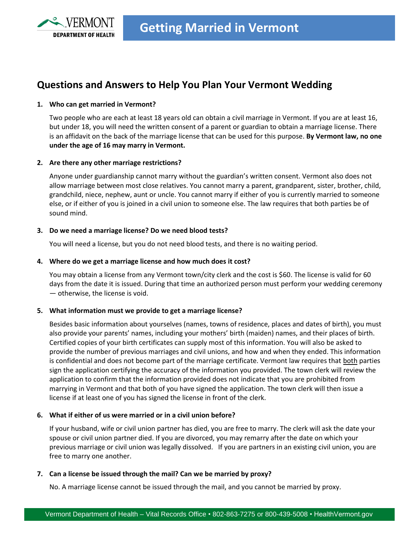

# **Questions and Answers to Help You Plan Your Vermont Wedding**

# **1. Who can get married in Vermont?**

Two people who are each at least 18 years old can obtain a civil marriage in Vermont. If you are at least 16, but under 18, you will need the written consent of a parent or guardian to obtain a marriage license. There is an affidavit on the back of the marriage license that can be used for this purpose. **By Vermont law, no one under the age of 16 may marry in Vermont.** 

## **2. Are there any other marriage restrictions?**

Anyone under guardianship cannot marry without the guardian's written consent. Vermont also does not allow marriage between most close relatives. You cannot marry a parent, grandparent, sister, brother, child, grandchild, niece, nephew, aunt or uncle. You cannot marry if either of you is currently married to someone else, or if either of you is joined in a civil union to someone else. The law requires that both parties be of sound mind.

## **3. Do we need a marriage license? Do we need blood tests?**

You will need a license, but you do not need blood tests, and there is no waiting period.

## **4. Where do we get a marriage license and how much does it cost?**

You may obtain a license from any Vermont town/city clerk and the cost is \$60. The license is valid for 60 days from the date it is issued. During that time an authorized person must perform your wedding ceremony — otherwise, the license is void.

# **5. What information must we provide to get a marriage license?**

Besides basic information about yourselves (names, towns of residence, places and dates of birth), you must also provide your parents' names, including your mothers' birth (maiden) names, and their places of birth. Certified copies of your birth certificates can supply most of this information. You will also be asked to provide the number of previous marriages and civil unions, and how and when they ended. This information is confidential and does not become part of the marriage certificate. Vermont law requires that both parties sign the application certifying the accuracy of the information you provided. The town clerk will review the application to confirm that the information provided does not indicate that you are prohibited from marrying in Vermont and that both of you have signed the application. The town clerk will then issue a license if at least one of you has signed the license in front of the clerk.

# **6. What if either of us were married or in a civil union before?**

If your husband, wife or civil union partner has died, you are free to marry. The clerk will ask the date your spouse or civil union partner died. If you are divorced, you may remarry after the date on which your previous marriage or civil union was legally dissolved. If you are partners in an existing civil union, you are free to marry one another.

#### **7. Can a license be issued through the mail? Can we be married by proxy?**

No. A marriage license cannot be issued through the mail, and you cannot be married by proxy.